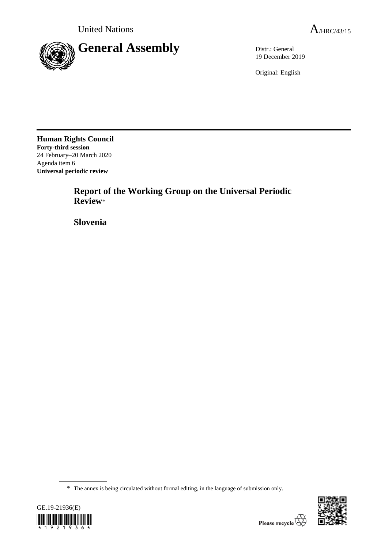

19 December 2019

Original: English

**Human Rights Council Forty-third session** 24 February–20 March 2020 Agenda item 6 **Universal periodic review**

> **Report of the Working Group on the Universal Periodic Review**\*

**Slovenia**

<sup>\*</sup> The annex is being circulated without formal editing, in the language of submission only.



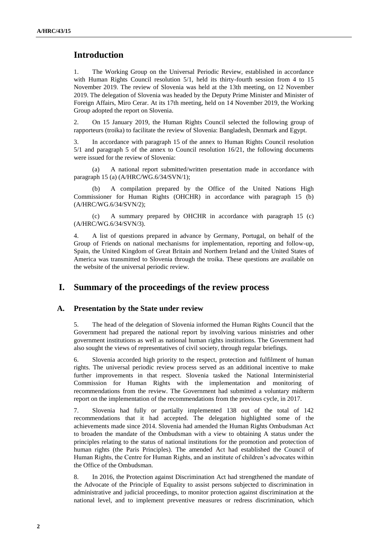# **Introduction**

1. The Working Group on the Universal Periodic Review, established in accordance with Human Rights Council resolution 5/1, held its thirty-fourth session from 4 to 15 November 2019. The review of Slovenia was held at the 13th meeting, on 12 November 2019. The delegation of Slovenia was headed by the Deputy Prime Minister and Minister of Foreign Affairs, Miro Cerar. At its 17th meeting, held on 14 November 2019, the Working Group adopted the report on Slovenia.

2. On 15 January 2019, the Human Rights Council selected the following group of rapporteurs (troika) to facilitate the review of Slovenia: Bangladesh, Denmark and Egypt.

3. In accordance with paragraph 15 of the annex to Human Rights Council resolution 5/1 and paragraph 5 of the annex to Council resolution 16/21, the following documents were issued for the review of Slovenia:

(a) A national report submitted/written presentation made in accordance with paragraph 15 (a) (A/HRC/WG.6/34/SVN/1);

(b) A compilation prepared by the Office of the United Nations High Commissioner for Human Rights (OHCHR) in accordance with paragraph 15 (b) (A/HRC/WG.6/34/SVN/2);

(c) A summary prepared by OHCHR in accordance with paragraph 15 (c) (A/HRC/WG.6/34/SVN/3).

4. A list of questions prepared in advance by Germany, Portugal, on behalf of the Group of Friends on national mechanisms for implementation, reporting and follow-up, Spain, the United Kingdom of Great Britain and Northern Ireland and the United States of America was transmitted to Slovenia through the troika. These questions are available on the website of the universal periodic review.

# **I. Summary of the proceedings of the review process**

#### **A. Presentation by the State under review**

5. The head of the delegation of Slovenia informed the Human Rights Council that the Government had prepared the national report by involving various ministries and other government institutions as well as national human rights institutions. The Government had also sought the views of representatives of civil society, through regular briefings.

6. Slovenia accorded high priority to the respect, protection and fulfilment of human rights. The universal periodic review process served as an additional incentive to make further improvements in that respect. Slovenia tasked the National Interministerial Commission for Human Rights with the implementation and monitoring of recommendations from the review. The Government had submitted a voluntary midterm report on the implementation of the recommendations from the previous cycle, in 2017.

7. Slovenia had fully or partially implemented 138 out of the total of 142 recommendations that it had accepted. The delegation highlighted some of the achievements made since 2014. Slovenia had amended the Human Rights Ombudsman Act to broaden the mandate of the Ombudsman with a view to obtaining A status under the principles relating to the status of national institutions for the promotion and protection of human rights (the Paris Principles). The amended Act had established the Council of Human Rights, the Centre for Human Rights, and an institute of children's advocates within the Office of the Ombudsman.

8. In 2016, the Protection against Discrimination Act had strengthened the mandate of the Advocate of the Principle of Equality to assist persons subjected to discrimination in administrative and judicial proceedings, to monitor protection against discrimination at the national level, and to implement preventive measures or redress discrimination, which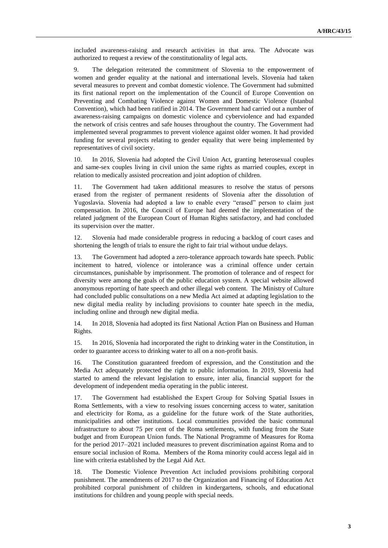included awareness-raising and research activities in that area. The Advocate was authorized to request a review of the constitutionality of legal acts.

9. The delegation reiterated the commitment of Slovenia to the empowerment of women and gender equality at the national and international levels. Slovenia had taken several measures to prevent and combat domestic violence. The Government had submitted its first national report on the implementation of the Council of Europe Convention on Preventing and Combating Violence against Women and Domestic Violence (Istanbul Convention), which had been ratified in 2014. The Government had carried out a number of awareness-raising campaigns on domestic violence and cyberviolence and had expanded the network of crisis centres and safe houses throughout the country. The Government had implemented several programmes to prevent violence against older women. It had provided funding for several projects relating to gender equality that were being implemented by representatives of civil society.

10. In 2016, Slovenia had adopted the Civil Union Act, granting heterosexual couples and same-sex couples living in civil union the same rights as married couples, except in relation to medically assisted procreation and joint adoption of children.

11. The Government had taken additional measures to resolve the status of persons erased from the register of permanent residents of Slovenia after the dissolution of Yugoslavia. Slovenia had adopted a law to enable every "erased" person to claim just compensation. In 2016, the Council of Europe had deemed the implementation of the related judgment of the European Court of Human Rights satisfactory, and had concluded its supervision over the matter.

12. Slovenia had made considerable progress in reducing a backlog of court cases and shortening the length of trials to ensure the right to fair trial without undue delays.

13. The Government had adopted a zero-tolerance approach towards hate speech. Public incitement to hatred, violence or intolerance was a criminal offence under certain circumstances, punishable by imprisonment. The promotion of tolerance and of respect for diversity were among the goals of the public education system. A special website allowed anonymous reporting of hate speech and other illegal web content. The Ministry of Culture had concluded public consultations on a new Media Act aimed at adapting legislation to the new digital media reality by including provisions to counter hate speech in the media, including online and through new digital media.

14. In 2018, Slovenia had adopted its first National Action Plan on Business and Human Rights.

15. In 2016, Slovenia had incorporated the right to drinking water in the Constitution, in order to guarantee access to drinking water to all on a non-profit basis.

16. The Constitution guaranteed freedom of expression, and the Constitution and the Media Act adequately protected the right to public information. In 2019, Slovenia had started to amend the relevant legislation to ensure, inter alia, financial support for the development of independent media operating in the public interest.

17. The Government had established the Expert Group for Solving Spatial Issues in Roma Settlements, with a view to resolving issues concerning access to water, sanitation and electricity for Roma, as a guideline for the future work of the State authorities, municipalities and other institutions. Local communities provided the basic communal infrastructure to about 75 per cent of the Roma settlements, with funding from the State budget and from European Union funds. The National Programme of Measures for Roma for the period 2017–2021 included measures to prevent discrimination against Roma and to ensure social inclusion of Roma. Members of the Roma minority could access legal aid in line with criteria established by the Legal Aid Act.

18. The Domestic Violence Prevention Act included provisions prohibiting corporal punishment. The amendments of 2017 to the Organization and Financing of Education Act prohibited corporal punishment of children in kindergartens, schools, and educational institutions for children and young people with special needs.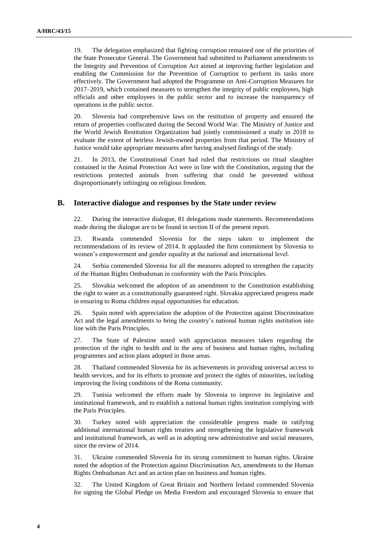19. The delegation emphasized that fighting corruption remained one of the priorities of the State Prosecutor General. The Government had submitted to Parliament amendments to the Integrity and Prevention of Corruption Act aimed at improving further legislation and enabling the Commission for the Prevention of Corruption to perform its tasks more effectively. The Government had adopted the Programme on Anti-Corruption Measures for 2017–2019, which contained measures to strengthen the integrity of public employees, high officials and other employees in the public sector and to increase the transparency of operations in the public sector.

20. Slovenia had comprehensive laws on the restitution of property and ensured the return of properties confiscated during the Second World War. The Ministry of Justice and the World Jewish Restitution Organization had jointly commissioned a study in 2018 to evaluate the extent of heirless Jewish-owned properties from that period. The Ministry of Justice would take appropriate measures after having analysed findings of the study.

21. In 2013, the Constitutional Court had ruled that restrictions on ritual slaughter contained in the Animal Protection Act were in line with the Constitution, arguing that the restrictions protected animals from suffering that could be prevented without disproportionately infringing on religious freedom.

#### **B. Interactive dialogue and responses by the State under review**

22. During the interactive dialogue, 81 delegations made statements. Recommendations made during the dialogue are to be found in section II of the present report.

23. Rwanda commended Slovenia for the steps taken to implement the recommendations of its review of 2014. It applauded the firm commitment by Slovenia to women's empowerment and gender equality at the national and international level.

24. Serbia commended Slovenia for all the measures adopted to strengthen the capacity of the Human Rights Ombudsman in conformity with the Paris Principles.

25. Slovakia welcomed the adoption of an amendment to the Constitution establishing the right to water as a constitutionally guaranteed right. Slovakia appreciated progress made in ensuring to Roma children equal opportunities for education.

26. Spain noted with appreciation the adoption of the Protection against Discrimination Act and the legal amendments to bring the country's national human rights institution into line with the Paris Principles.

27. The State of Palestine noted with appreciation measures taken regarding the protection of the right to health and in the area of business and human rights, including programmes and action plans adopted in those areas.

28. Thailand commended Slovenia for its achievements in providing universal access to health services, and for its efforts to promote and protect the rights of minorities, including improving the living conditions of the Roma community.

29. Tunisia welcomed the efforts made by Slovenia to improve its legislative and institutional framework, and to establish a national human rights institution complying with the Paris Principles.

30. Turkey noted with appreciation the considerable progress made in ratifying additional international human rights treaties and strengthening the legislative framework and institutional framework, as well as in adopting new administrative and social measures, since the review of 2014.

31. Ukraine commended Slovenia for its strong commitment to human rights. Ukraine noted the adoption of the Protection against Discrimination Act, amendments to the Human Rights Ombudsman Act and an action plan on business and human rights.

32. The United Kingdom of Great Britain and Northern Ireland commended Slovenia for signing the Global Pledge on Media Freedom and encouraged Slovenia to ensure that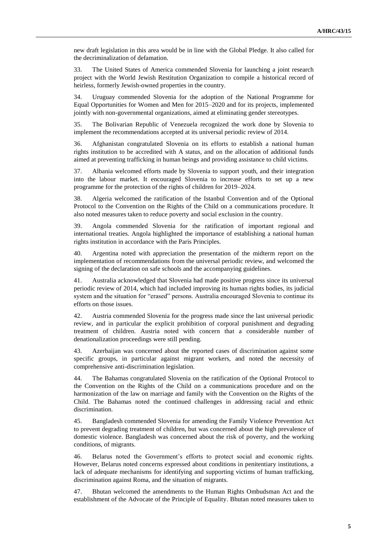new draft legislation in this area would be in line with the Global Pledge. It also called for the decriminalization of defamation.

33. The United States of America commended Slovenia for launching a joint research project with the World Jewish Restitution Organization to compile a historical record of heirless, formerly Jewish-owned properties in the country.

34. Uruguay commended Slovenia for the adoption of the National Programme for Equal Opportunities for Women and Men for 2015–2020 and for its projects, implemented jointly with non-governmental organizations, aimed at eliminating gender stereotypes.

35. The Bolivarian Republic of Venezuela recognized the work done by Slovenia to implement the recommendations accepted at its universal periodic review of 2014.

36. Afghanistan congratulated Slovenia on its efforts to establish a national human rights institution to be accredited with A status, and on the allocation of additional funds aimed at preventing trafficking in human beings and providing assistance to child victims.

37. Albania welcomed efforts made by Slovenia to support youth, and their integration into the labour market. It encouraged Slovenia to increase efforts to set up a new programme for the protection of the rights of children for 2019–2024.

38. Algeria welcomed the ratification of the Istanbul Convention and of the Optional Protocol to the Convention on the Rights of the Child on a communications procedure. It also noted measures taken to reduce poverty and social exclusion in the country.

39. Angola commended Slovenia for the ratification of important regional and international treaties. Angola highlighted the importance of establishing a national human rights institution in accordance with the Paris Principles.

40. Argentina noted with appreciation the presentation of the midterm report on the implementation of recommendations from the universal periodic review, and welcomed the signing of the declaration on safe schools and the accompanying guidelines.

41. Australia acknowledged that Slovenia had made positive progress since its universal periodic review of 2014, which had included improving its human rights bodies, its judicial system and the situation for "erased" persons. Australia encouraged Slovenia to continue its efforts on those issues.

42. Austria commended Slovenia for the progress made since the last universal periodic review, and in particular the explicit prohibition of corporal punishment and degrading treatment of children. Austria noted with concern that a considerable number of denationalization proceedings were still pending.

43. Azerbaijan was concerned about the reported cases of discrimination against some specific groups, in particular against migrant workers, and noted the necessity of comprehensive anti-discrimination legislation.

44. The Bahamas congratulated Slovenia on the ratification of the Optional Protocol to the Convention on the Rights of the Child on a communications procedure and on the harmonization of the law on marriage and family with the Convention on the Rights of the Child. The Bahamas noted the continued challenges in addressing racial and ethnic discrimination.

45. Bangladesh commended Slovenia for amending the Family Violence Prevention Act to prevent degrading treatment of children, but was concerned about the high prevalence of domestic violence. Bangladesh was concerned about the risk of poverty, and the working conditions, of migrants.

46. Belarus noted the Government's efforts to protect social and economic rights. However, Belarus noted concerns expressed about conditions in penitentiary institutions, a lack of adequate mechanisms for identifying and supporting victims of human trafficking, discrimination against Roma, and the situation of migrants.

47. Bhutan welcomed the amendments to the Human Rights Ombudsman Act and the establishment of the Advocate of the Principle of Equality. Bhutan noted measures taken to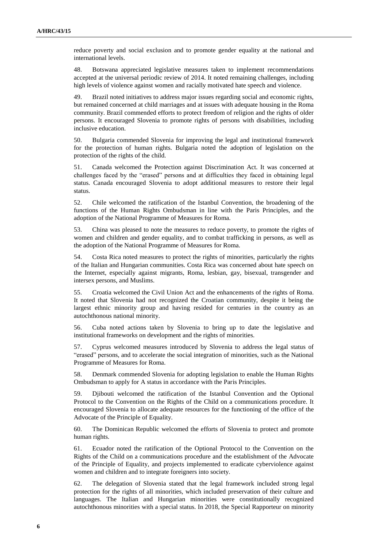reduce poverty and social exclusion and to promote gender equality at the national and international levels.

48. Botswana appreciated legislative measures taken to implement recommendations accepted at the universal periodic review of 2014. It noted remaining challenges, including high levels of violence against women and racially motivated hate speech and violence.

49. Brazil noted initiatives to address major issues regarding social and economic rights, but remained concerned at child marriages and at issues with adequate housing in the Roma community. Brazil commended efforts to protect freedom of religion and the rights of older persons. It encouraged Slovenia to promote rights of persons with disabilities, including inclusive education.

50. Bulgaria commended Slovenia for improving the legal and institutional framework for the protection of human rights. Bulgaria noted the adoption of legislation on the protection of the rights of the child.

51. Canada welcomed the Protection against Discrimination Act. It was concerned at challenges faced by the "erased" persons and at difficulties they faced in obtaining legal status. Canada encouraged Slovenia to adopt additional measures to restore their legal status.

52. Chile welcomed the ratification of the Istanbul Convention, the broadening of the functions of the Human Rights Ombudsman in line with the Paris Principles, and the adoption of the National Programme of Measures for Roma.

53. China was pleased to note the measures to reduce poverty, to promote the rights of women and children and gender equality, and to combat trafficking in persons, as well as the adoption of the National Programme of Measures for Roma.

54. Costa Rica noted measures to protect the rights of minorities, particularly the rights of the Italian and Hungarian communities. Costa Rica was concerned about hate speech on the Internet, especially against migrants, Roma, lesbian, gay, bisexual, transgender and intersex persons, and Muslims.

55. Croatia welcomed the Civil Union Act and the enhancements of the rights of Roma. It noted that Slovenia had not recognized the Croatian community, despite it being the largest ethnic minority group and having resided for centuries in the country as an autochthonous national minority.

56. Cuba noted actions taken by Slovenia to bring up to date the legislative and institutional frameworks on development and the rights of minorities.

57. Cyprus welcomed measures introduced by Slovenia to address the legal status of "erased" persons, and to accelerate the social integration of minorities, such as the National Programme of Measures for Roma.

58. Denmark commended Slovenia for adopting legislation to enable the Human Rights Ombudsman to apply for A status in accordance with the Paris Principles.

59. Djibouti welcomed the ratification of the Istanbul Convention and the Optional Protocol to the Convention on the Rights of the Child on a communications procedure. It encouraged Slovenia to allocate adequate resources for the functioning of the office of the Advocate of the Principle of Equality.

60. The Dominican Republic welcomed the efforts of Slovenia to protect and promote human rights.

61. Ecuador noted the ratification of the Optional Protocol to the Convention on the Rights of the Child on a communications procedure and the establishment of the Advocate of the Principle of Equality, and projects implemented to eradicate cyberviolence against women and children and to integrate foreigners into society.

62. The delegation of Slovenia stated that the legal framework included strong legal protection for the rights of all minorities, which included preservation of their culture and languages. The Italian and Hungarian minorities were constitutionally recognized autochthonous minorities with a special status. In 2018, the Special Rapporteur on minority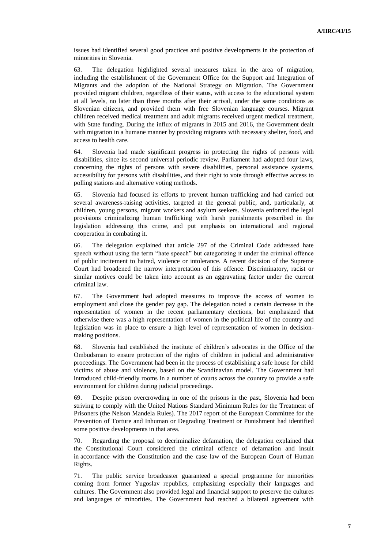issues had identified several good practices and positive developments in the protection of minorities in Slovenia.

63. The delegation highlighted several measures taken in the area of migration, including the establishment of the Government Office for the Support and Integration of Migrants and the adoption of the National Strategy on Migration. The Government provided migrant children, regardless of their status, with access to the educational system at all levels, no later than three months after their arrival, under the same conditions as Slovenian citizens, and provided them with free Slovenian language courses. Migrant children received medical treatment and adult migrants received urgent medical treatment, with State funding. During the influx of migrants in 2015 and 2016, the Government dealt with migration in a humane manner by providing migrants with necessary shelter, food, and access to health care.

64. Slovenia had made significant progress in protecting the rights of persons with disabilities, since its second universal periodic review. Parliament had adopted four laws, concerning the rights of persons with severe disabilities, personal assistance systems, accessibility for persons with disabilities, and their right to vote through effective access to polling stations and alternative voting methods.

65. Slovenia had focused its efforts to prevent human trafficking and had carried out several awareness-raising activities, targeted at the general public, and, particularly, at children, young persons, migrant workers and asylum seekers. Slovenia enforced the legal provisions criminalizing human trafficking with harsh punishments prescribed in the legislation addressing this crime, and put emphasis on international and regional cooperation in combating it.

66. The delegation explained that article 297 of the Criminal Code addressed hate speech without using the term "hate speech" but categorizing it under the criminal offence of public incitement to hatred, violence or intolerance. A recent decision of the Supreme Court had broadened the narrow interpretation of this offence. Discriminatory, racist or similar motives could be taken into account as an aggravating factor under the current criminal law.

67. The Government had adopted measures to improve the access of women to employment and close the gender pay gap. The delegation noted a certain decrease in the representation of women in the recent parliamentary elections, but emphasized that otherwise there was a high representation of women in the political life of the country and legislation was in place to ensure a high level of representation of women in decisionmaking positions.

68. Slovenia had established the institute of children's advocates in the Office of the Ombudsman to ensure protection of the rights of children in judicial and administrative proceedings. The Government had been in the process of establishing a safe house for child victims of abuse and violence, based on the Scandinavian model. The Government had introduced child-friendly rooms in a number of courts across the country to provide a safe environment for children during judicial proceedings.

69. Despite prison overcrowding in one of the prisons in the past, Slovenia had been striving to comply with the United Nations Standard Minimum Rules for the Treatment of Prisoners (the Nelson Mandela Rules). The 2017 report of the European Committee for the Prevention of Torture and Inhuman or Degrading Treatment or Punishment had identified some positive developments in that area.

70. Regarding the proposal to decriminalize defamation, the delegation explained that the Constitutional Court considered the criminal offence of defamation and insult in accordance with the Constitution and the case law of the European Court of Human Rights.

71. The public service broadcaster guaranteed a special programme for minorities coming from former Yugoslav republics, emphasizing especially their languages and cultures. The Government also provided legal and financial support to preserve the cultures and languages of minorities. The Government had reached a bilateral agreement with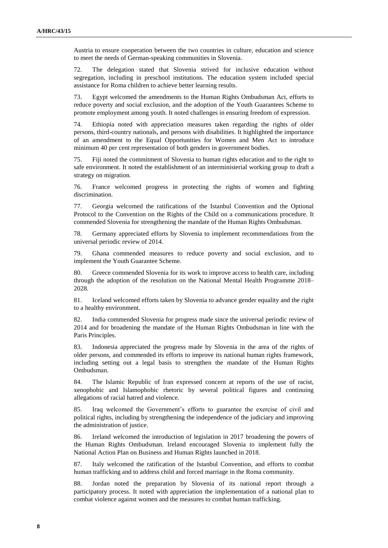Austria to ensure cooperation between the two countries in culture, education and science to meet the needs of German-speaking communities in Slovenia.

72. The delegation stated that Slovenia strived for inclusive education without segregation, including in preschool institutions. The education system included special assistance for Roma children to achieve better learning results.

73. Egypt welcomed the amendments to the Human Rights Ombudsman Act, efforts to reduce poverty and social exclusion, and the adoption of the Youth Guarantees Scheme to promote employment among youth. It noted challenges in ensuring freedom of expression.

74. Ethiopia noted with appreciation measures taken regarding the rights of older persons, third-country nationals, and persons with disabilities. It highlighted the importance of an amendment to the Equal Opportunities for Women and Men Act to introduce minimum 40 per cent representation of both genders in government bodies.

75. Fiji noted the commitment of Slovenia to human rights education and to the right to safe environment. It noted the establishment of an interministerial working group to draft a strategy on migration.

76. France welcomed progress in protecting the rights of women and fighting discrimination.

77. Georgia welcomed the ratifications of the Istanbul Convention and the Optional Protocol to the Convention on the Rights of the Child on a communications procedure. It commended Slovenia for strengthening the mandate of the Human Rights Ombudsman.

78. Germany appreciated efforts by Slovenia to implement recommendations from the universal periodic review of 2014.

79. Ghana commended measures to reduce poverty and social exclusion, and to implement the Youth Guarantee Scheme.

80. Greece commended Slovenia for its work to improve access to health care, including through the adoption of the resolution on the National Mental Health Programme 2018– 2028.

81. Iceland welcomed efforts taken by Slovenia to advance gender equality and the right to a healthy environment.

82. India commended Slovenia for progress made since the universal periodic review of 2014 and for broadening the mandate of the Human Rights Ombudsman in line with the Paris Principles.

83. Indonesia appreciated the progress made by Slovenia in the area of the rights of older persons, and commended its efforts to improve its national human rights framework, including setting out a legal basis to strengthen the mandate of the Human Rights Ombudsman.

84. The Islamic Republic of Iran expressed concern at reports of the use of racist, xenophobic and Islamophobic rhetoric by several political figures and continuing allegations of racial hatred and violence.

85. Iraq welcomed the Government's efforts to guarantee the exercise of civil and political rights, including by strengthening the independence of the judiciary and improving the administration of justice.

86. Ireland welcomed the introduction of legislation in 2017 broadening the powers of the Human Rights Ombudsman. Ireland encouraged Slovenia to implement fully the National Action Plan on Business and Human Rights launched in 2018.

87. Italy welcomed the ratification of the Istanbul Convention, and efforts to combat human trafficking and to address child and forced marriage in the Roma community.

88. Jordan noted the preparation by Slovenia of its national report through a participatory process. It noted with appreciation the implementation of a national plan to combat violence against women and the measures to combat human trafficking.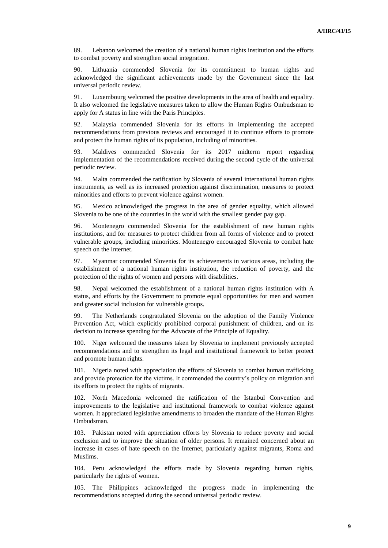89. Lebanon welcomed the creation of a national human rights institution and the efforts to combat poverty and strengthen social integration.

90. Lithuania commended Slovenia for its commitment to human rights and acknowledged the significant achievements made by the Government since the last universal periodic review.

91. Luxembourg welcomed the positive developments in the area of health and equality. It also welcomed the legislative measures taken to allow the Human Rights Ombudsman to apply for A status in line with the Paris Principles.

92. Malaysia commended Slovenia for its efforts in implementing the accepted recommendations from previous reviews and encouraged it to continue efforts to promote and protect the human rights of its population, including of minorities.

93. Maldives commended Slovenia for its 2017 midterm report regarding implementation of the recommendations received during the second cycle of the universal periodic review.

94. Malta commended the ratification by Slovenia of several international human rights instruments, as well as its increased protection against discrimination, measures to protect minorities and efforts to prevent violence against women.

95. Mexico acknowledged the progress in the area of gender equality, which allowed Slovenia to be one of the countries in the world with the smallest gender pay gap.

96. Montenegro commended Slovenia for the establishment of new human rights institutions, and for measures to protect children from all forms of violence and to protect vulnerable groups, including minorities. Montenegro encouraged Slovenia to combat hate speech on the Internet.

97. Myanmar commended Slovenia for its achievements in various areas, including the establishment of a national human rights institution, the reduction of poverty, and the protection of the rights of women and persons with disabilities.

98. Nepal welcomed the establishment of a national human rights institution with A status, and efforts by the Government to promote equal opportunities for men and women and greater social inclusion for vulnerable groups.

99. The Netherlands congratulated Slovenia on the adoption of the Family Violence Prevention Act, which explicitly prohibited corporal punishment of children, and on its decision to increase spending for the Advocate of the Principle of Equality.

100. Niger welcomed the measures taken by Slovenia to implement previously accepted recommendations and to strengthen its legal and institutional framework to better protect and promote human rights.

101. Nigeria noted with appreciation the efforts of Slovenia to combat human trafficking and provide protection for the victims. It commended the country's policy on migration and its efforts to protect the rights of migrants.

102. North Macedonia welcomed the ratification of the Istanbul Convention and improvements to the legislative and institutional framework to combat violence against women. It appreciated legislative amendments to broaden the mandate of the Human Rights Ombudsman.

103. Pakistan noted with appreciation efforts by Slovenia to reduce poverty and social exclusion and to improve the situation of older persons. It remained concerned about an increase in cases of hate speech on the Internet, particularly against migrants, Roma and Muslims.

104. Peru acknowledged the efforts made by Slovenia regarding human rights, particularly the rights of women.

105. The Philippines acknowledged the progress made in implementing the recommendations accepted during the second universal periodic review.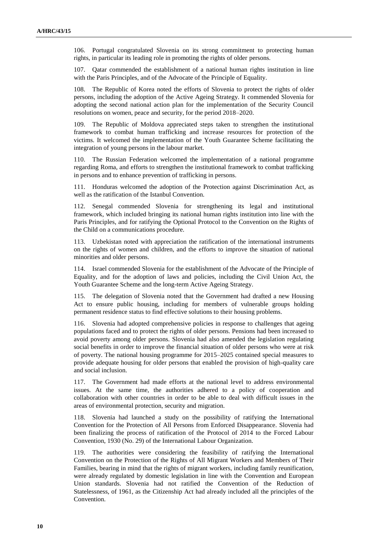106. Portugal congratulated Slovenia on its strong commitment to protecting human rights, in particular its leading role in promoting the rights of older persons.

107. Qatar commended the establishment of a national human rights institution in line with the Paris Principles, and of the Advocate of the Principle of Equality.

108. The Republic of Korea noted the efforts of Slovenia to protect the rights of older persons, including the adoption of the Active Ageing Strategy. It commended Slovenia for adopting the second national action plan for the implementation of the Security Council resolutions on women, peace and security, for the period 2018–2020.

109. The Republic of Moldova appreciated steps taken to strengthen the institutional framework to combat human trafficking and increase resources for protection of the victims. It welcomed the implementation of the Youth Guarantee Scheme facilitating the integration of young persons in the labour market.

110. The Russian Federation welcomed the implementation of a national programme regarding Roma, and efforts to strengthen the institutional framework to combat trafficking in persons and to enhance prevention of trafficking in persons.

111. Honduras welcomed the adoption of the Protection against Discrimination Act, as well as the ratification of the Istanbul Convention.

112. Senegal commended Slovenia for strengthening its legal and institutional framework, which included bringing its national human rights institution into line with the Paris Principles, and for ratifying the Optional Protocol to the Convention on the Rights of the Child on a communications procedure.

113. Uzbekistan noted with appreciation the ratification of the international instruments on the rights of women and children, and the efforts to improve the situation of national minorities and older persons.

114. Israel commended Slovenia for the establishment of the Advocate of the Principle of Equality, and for the adoption of laws and policies, including the Civil Union Act, the Youth Guarantee Scheme and the long-term Active Ageing Strategy.

115. The delegation of Slovenia noted that the Government had drafted a new Housing Act to ensure public housing, including for members of vulnerable groups holding permanent residence status to find effective solutions to their housing problems.

116. Slovenia had adopted comprehensive policies in response to challenges that ageing populations faced and to protect the rights of older persons. Pensions had been increased to avoid poverty among older persons. Slovenia had also amended the legislation regulating social benefits in order to improve the financial situation of older persons who were at risk of poverty. The national housing programme for 2015–2025 contained special measures to provide adequate housing for older persons that enabled the provision of high-quality care and social inclusion.

117. The Government had made efforts at the national level to address environmental issues. At the same time, the authorities adhered to a policy of cooperation and collaboration with other countries in order to be able to deal with difficult issues in the areas of environmental protection, security and migration.

118. Slovenia had launched a study on the possibility of ratifying the International Convention for the Protection of All Persons from Enforced Disappearance. Slovenia had been finalizing the process of ratification of the Protocol of 2014 to the Forced Labour Convention, 1930 (No. 29) of the International Labour Organization.

119. The authorities were considering the feasibility of ratifying the International Convention on the Protection of the Rights of All Migrant Workers and Members of Their Families, bearing in mind that the rights of migrant workers, including family reunification, were already regulated by domestic legislation in line with the Convention and European Union standards. Slovenia had not ratified the Convention of the Reduction of Statelessness, of 1961, as the Citizenship Act had already included all the principles of the Convention.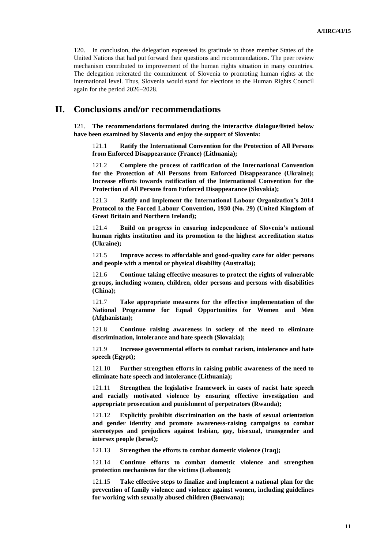120. In conclusion, the delegation expressed its gratitude to those member States of the United Nations that had put forward their questions and recommendations. The peer review mechanism contributed to improvement of the human rights situation in many countries. The delegation reiterated the commitment of Slovenia to promoting human rights at the international level. Thus, Slovenia would stand for elections to the Human Rights Council again for the period 2026–2028.

# **II. Conclusions and/or recommendations**

121. **The recommendations formulated during the interactive dialogue/listed below have been examined by Slovenia and enjoy the support of Slovenia:**

121.1 **Ratify the International Convention for the Protection of All Persons from Enforced Disappearance (France) (Lithuania);**

121.2 **Complete the process of ratification of the International Convention for the Protection of All Persons from Enforced Disappearance (Ukraine); Increase efforts towards ratification of the International Convention for the Protection of All Persons from Enforced Disappearance (Slovakia);**

121.3 **Ratify and implement the International Labour Organization's 2014 Protocol to the Forced Labour Convention, 1930 (No. 29) (United Kingdom of Great Britain and Northern Ireland);**

121.4 **Build on progress in ensuring independence of Slovenia's national human rights institution and its promotion to the highest accreditation status (Ukraine);**

121.5 **Improve access to affordable and good-quality care for older persons and people with a mental or physical disability (Australia);**

121.6 **Continue taking effective measures to protect the rights of vulnerable groups, including women, children, older persons and persons with disabilities (China);**

121.7 **Take appropriate measures for the effective implementation of the National Programme for Equal Opportunities for Women and Men (Afghanistan);**

121.8 **Continue raising awareness in society of the need to eliminate discrimination, intolerance and hate speech (Slovakia);**

121.9 **Increase governmental efforts to combat racism, intolerance and hate speech (Egypt);**

121.10 **Further strengthen efforts in raising public awareness of the need to eliminate hate speech and intolerance (Lithuania);**

121.11 **Strengthen the legislative framework in cases of racist hate speech and racially motivated violence by ensuring effective investigation and appropriate prosecution and punishment of perpetrators (Rwanda);**

121.12 **Explicitly prohibit discrimination on the basis of sexual orientation and gender identity and promote awareness-raising campaigns to combat stereotypes and prejudices against lesbian, gay, bisexual, transgender and intersex people (Israel);**

121.13 **Strengthen the efforts to combat domestic violence (Iraq);**

121.14 **Continue efforts to combat domestic violence and strengthen protection mechanisms for the victims (Lebanon);**

121.15 **Take effective steps to finalize and implement a national plan for the prevention of family violence and violence against women, including guidelines for working with sexually abused children (Botswana);**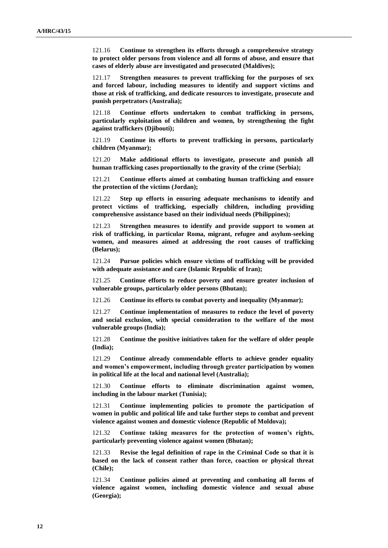121.16 **Continue to strengthen its efforts through a comprehensive strategy to protect older persons from violence and all forms of abuse, and ensure that cases of elderly abuse are investigated and prosecuted (Maldives);**

121.17 **Strengthen measures to prevent trafficking for the purposes of sex and forced labour, including measures to identify and support victims and those at risk of trafficking, and dedicate resources to investigate, prosecute and punish perpetrators (Australia);**

121.18 **Continue efforts undertaken to combat trafficking in persons, particularly exploitation of children and women, by strengthening the fight against traffickers (Djibouti);**

121.19 **Continue its efforts to prevent trafficking in persons, particularly children (Myanmar);**

121.20 **Make additional efforts to investigate, prosecute and punish all human trafficking cases proportionally to the gravity of the crime (Serbia);**

121.21 **Continue efforts aimed at combating human trafficking and ensure the protection of the victims (Jordan);**

121.22 **Step up efforts in ensuring adequate mechanisms to identify and protect victims of trafficking, especially children, including providing comprehensive assistance based on their individual needs (Philippines);**

121.23 **Strengthen measures to identify and provide support to women at risk of trafficking, in particular Roma, migrant, refugee and asylum-seeking women, and measures aimed at addressing the root causes of trafficking (Belarus);**

121.24 **Pursue policies which ensure victims of trafficking will be provided with adequate assistance and care (Islamic Republic of Iran);**

121.25 **Continue efforts to reduce poverty and ensure greater inclusion of vulnerable groups, particularly older persons (Bhutan);**

121.26 **Continue its efforts to combat poverty and inequality (Myanmar);**

121.27 **Continue implementation of measures to reduce the level of poverty and social exclusion, with special consideration to the welfare of the most vulnerable groups (India);**

121.28 **Continue the positive initiatives taken for the welfare of older people (India);**

121.29 **Continue already commendable efforts to achieve gender equality and women's empowerment, including through greater participation by women in political life at the local and national level (Australia);**

121.30 **Continue efforts to eliminate discrimination against women, including in the labour market (Tunisia);**

121.31 **Continue implementing policies to promote the participation of women in public and political life and take further steps to combat and prevent violence against women and domestic violence (Republic of Moldova);**

121.32 **Continue taking measures for the protection of women's rights, particularly preventing violence against women (Bhutan);**

121.33 **Revise the legal definition of rape in the Criminal Code so that it is based on the lack of consent rather than force, coaction or physical threat (Chile);**

121.34 **Continue policies aimed at preventing and combating all forms of violence against women, including domestic violence and sexual abuse (Georgia);**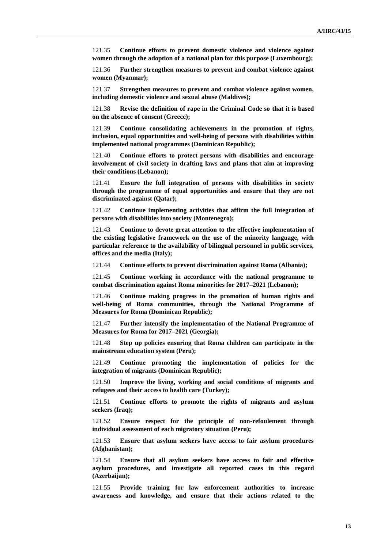121.35 **Continue efforts to prevent domestic violence and violence against women through the adoption of a national plan for this purpose (Luxembourg);**

121.36 **Further strengthen measures to prevent and combat violence against women (Myanmar);**

121.37 **Strengthen measures to prevent and combat violence against women, including domestic violence and sexual abuse (Maldives);**

121.38 **Revise the definition of rape in the Criminal Code so that it is based on the absence of consent (Greece);**

121.39 **Continue consolidating achievements in the promotion of rights, inclusion, equal opportunities and well-being of persons with disabilities within implemented national programmes (Dominican Republic);**

121.40 **Continue efforts to protect persons with disabilities and encourage involvement of civil society in drafting laws and plans that aim at improving their conditions (Lebanon);**

121.41 **Ensure the full integration of persons with disabilities in society through the programme of equal opportunities and ensure that they are not discriminated against (Qatar);**

121.42 **Continue implementing activities that affirm the full integration of persons with disabilities into society (Montenegro);**

121.43 **Continue to devote great attention to the effective implementation of the existing legislative framework on the use of the minority language, with particular reference to the availability of bilingual personnel in public services, offices and the media (Italy);**

121.44 **Continue efforts to prevent discrimination against Roma (Albania);**

121.45 **Continue working in accordance with the national programme to combat discrimination against Roma minorities for 2017–2021 (Lebanon);**

121.46 **Continue making progress in the promotion of human rights and well-being of Roma communities, through the National Programme of Measures for Roma (Dominican Republic);**

121.47 **Further intensify the implementation of the National Programme of Measures for Roma for 2017–2021 (Georgia);**

121.48 **Step up policies ensuring that Roma children can participate in the mainstream education system (Peru);**

121.49 **Continue promoting the implementation of policies for the integration of migrants (Dominican Republic);**

121.50 **Improve the living, working and social conditions of migrants and refugees and their access to health care (Turkey);**

121.51 **Continue efforts to promote the rights of migrants and asylum seekers (Iraq);**

121.52 **Ensure respect for the principle of non-refoulement through individual assessment of each migratory situation (Peru);**

121.53 **Ensure that asylum seekers have access to fair asylum procedures (Afghanistan);**

121.54 **Ensure that all asylum seekers have access to fair and effective asylum procedures, and investigate all reported cases in this regard (Azerbaijan);**

121.55 **Provide training for law enforcement authorities to increase awareness and knowledge, and ensure that their actions related to the**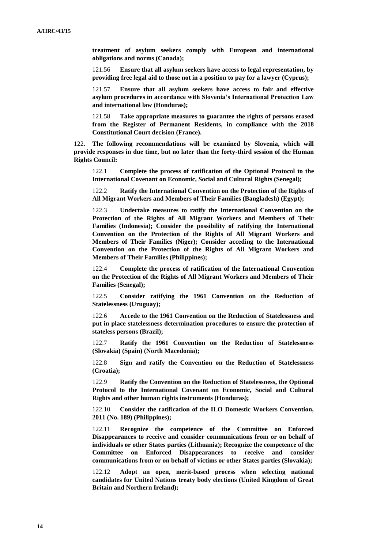**treatment of asylum seekers comply with European and international obligations and norms (Canada);**

121.56 **Ensure that all asylum seekers have access to legal representation, by providing free legal aid to those not in a position to pay for a lawyer (Cyprus);**

121.57 **Ensure that all asylum seekers have access to fair and effective asylum procedures in accordance with Slovenia's International Protection Law and international law (Honduras);**

121.58 **Take appropriate measures to guarantee the rights of persons erased from the Register of Permanent Residents, in compliance with the 2018 Constitutional Court decision (France).**

122. **The following recommendations will be examined by Slovenia, which will provide responses in due time, but no later than the forty-third session of the Human Rights Council:**

122.1 **Complete the process of ratification of the Optional Protocol to the International Covenant on Economic, Social and Cultural Rights (Senegal);**

122.2 **Ratify the International Convention on the Protection of the Rights of All Migrant Workers and Members of Their Families (Bangladesh) (Egypt);**

122.3 **Undertake measures to ratify the International Convention on the Protection of the Rights of All Migrant Workers and Members of Their Families (Indonesia); Consider the possibility of ratifying the International Convention on the Protection of the Rights of All Migrant Workers and Members of Their Families (Niger); Consider acceding to the International Convention on the Protection of the Rights of All Migrant Workers and Members of Their Families (Philippines);**

122.4 **Complete the process of ratification of the International Convention on the Protection of the Rights of All Migrant Workers and Members of Their Families (Senegal);**

122.5 **Consider ratifying the 1961 Convention on the Reduction of Statelessness (Uruguay);**

122.6 **Accede to the 1961 Convention on the Reduction of Statelessness and put in place statelessness determination procedures to ensure the protection of stateless persons (Brazil);**

122.7 **Ratify the 1961 Convention on the Reduction of Statelessness (Slovakia) (Spain) (North Macedonia);**

122.8 **Sign and ratify the Convention on the Reduction of Statelessness (Croatia);**

122.9 **Ratify the Convention on the Reduction of Statelessness, the Optional Protocol to the International Covenant on Economic, Social and Cultural Rights and other human rights instruments (Honduras);**

122.10 **Consider the ratification of the ILO Domestic Workers Convention, 2011 (No. 189) (Philippines);**

122.11 **Recognize the competence of the Committee on Enforced Disappearances to receive and consider communications from or on behalf of individuals or other States parties (Lithuania); Recognize the competence of the Committee on Enforced Disappearances to receive and consider communications from or on behalf of victims or other States parties (Slovakia);**

122.12 **Adopt an open, merit-based process when selecting national candidates for United Nations treaty body elections (United Kingdom of Great Britain and Northern Ireland);**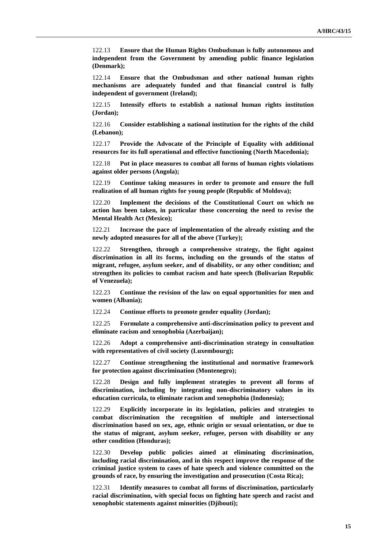122.13 **Ensure that the Human Rights Ombudsman is fully autonomous and independent from the Government by amending public finance legislation (Denmark);**

122.14 **Ensure that the Ombudsman and other national human rights mechanisms are adequately funded and that financial control is fully independent of government (Ireland);**

122.15 **Intensify efforts to establish a national human rights institution (Jordan);**

122.16 **Consider establishing a national institution for the rights of the child (Lebanon);**

122.17 **Provide the Advocate of the Principle of Equality with additional resources for its full operational and effective functioning (North Macedonia);**

122.18 **Put in place measures to combat all forms of human rights violations against older persons (Angola);**

122.19 **Continue taking measures in order to promote and ensure the full realization of all human rights for young people (Republic of Moldova);**

122.20 **Implement the decisions of the Constitutional Court on which no action has been taken, in particular those concerning the need to revise the Mental Health Act (Mexico);**

122.21 **Increase the pace of implementation of the already existing and the newly adopted measures for all of the above (Turkey);**

122.22 **Strengthen, through a comprehensive strategy, the fight against discrimination in all its forms, including on the grounds of the status of migrant, refugee, asylum seeker, and of disability, or any other condition; and strengthen its policies to combat racism and hate speech (Bolivarian Republic of Venezuela);**

122.23 **Continue the revision of the law on equal opportunities for men and women (Albania);**

122.24 **Continue efforts to promote gender equality (Jordan);**

122.25 **Formulate a comprehensive anti-discrimination policy to prevent and eliminate racism and xenophobia (Azerbaijan);**

122.26 **Adopt a comprehensive anti-discrimination strategy in consultation with representatives of civil society (Luxembourg);**

122.27 **Continue strengthening the institutional and normative framework for protection against discrimination (Montenegro);**

122.28 **Design and fully implement strategies to prevent all forms of discrimination, including by integrating non-discriminatory values in its education curricula, to eliminate racism and xenophobia (Indonesia);**

122.29 **Explicitly incorporate in its legislation, policies and strategies to combat discrimination the recognition of multiple and intersectional discrimination based on sex, age, ethnic origin or sexual orientation, or due to the status of migrant, asylum seeker, refugee, person with disability or any other condition (Honduras);**

122.30 **Develop public policies aimed at eliminating discrimination, including racial discrimination, and in this respect improve the response of the criminal justice system to cases of hate speech and violence committed on the grounds of race, by ensuring the investigation and prosecution (Costa Rica);**

122.31 **Identify measures to combat all forms of discrimination, particularly racial discrimination, with special focus on fighting hate speech and racist and xenophobic statements against minorities (Djibouti);**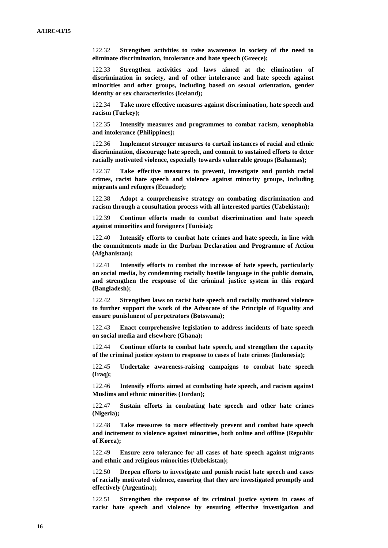122.32 **Strengthen activities to raise awareness in society of the need to eliminate discrimination, intolerance and hate speech (Greece);**

122.33 **Strengthen activities and laws aimed at the elimination of discrimination in society, and of other intolerance and hate speech against minorities and other groups, including based on sexual orientation, gender identity or sex characteristics (Iceland);**

122.34 **Take more effective measures against discrimination, hate speech and racism (Turkey);**

122.35 **Intensify measures and programmes to combat racism, xenophobia and intolerance (Philippines);**

122.36 **Implement stronger measures to curtail instances of racial and ethnic discrimination, discourage hate speech, and commit to sustained efforts to deter racially motivated violence, especially towards vulnerable groups (Bahamas);**

122.37 **Take effective measures to prevent, investigate and punish racial crimes, racist hate speech and violence against minority groups, including migrants and refugees (Ecuador);**

122.38 **Adopt a comprehensive strategy on combating discrimination and racism through a consultation process with all interested parties (Uzbekistan);**

122.39 **Continue efforts made to combat discrimination and hate speech against minorities and foreigners (Tunisia);**

122.40 **Intensify efforts to combat hate crimes and hate speech, in line with the commitments made in the Durban Declaration and Programme of Action (Afghanistan);**

122.41 **Intensify efforts to combat the increase of hate speech, particularly on social media, by condemning racially hostile language in the public domain, and strengthen the response of the criminal justice system in this regard (Bangladesh);**

122.42 **Strengthen laws on racist hate speech and racially motivated violence to further support the work of the Advocate of the Principle of Equality and ensure punishment of perpetrators (Botswana);**

122.43 **Enact comprehensive legislation to address incidents of hate speech on social media and elsewhere (Ghana);**

122.44 **Continue efforts to combat hate speech, and strengthen the capacity of the criminal justice system to response to cases of hate crimes (Indonesia);**

122.45 **Undertake awareness-raising campaigns to combat hate speech (Iraq);**

122.46 **Intensify efforts aimed at combating hate speech, and racism against Muslims and ethnic minorities (Jordan);**

122.47 **Sustain efforts in combating hate speech and other hate crimes (Nigeria);**

122.48 **Take measures to more effectively prevent and combat hate speech and incitement to violence against minorities, both online and offline (Republic of Korea);**

122.49 **Ensure zero tolerance for all cases of hate speech against migrants and ethnic and religious minorities (Uzbekistan);**

122.50 **Deepen efforts to investigate and punish racist hate speech and cases of racially motivated violence, ensuring that they are investigated promptly and effectively (Argentina);**

122.51 **Strengthen the response of its criminal justice system in cases of racist hate speech and violence by ensuring effective investigation and**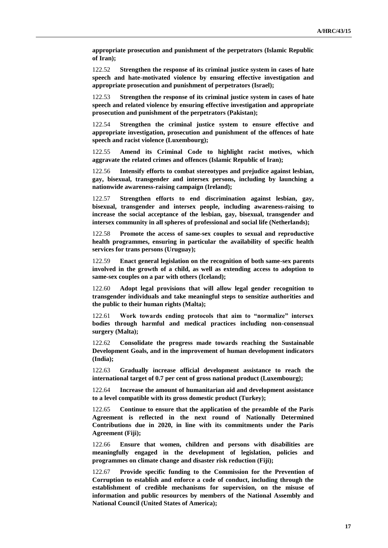**appropriate prosecution and punishment of the perpetrators (Islamic Republic of Iran);**

122.52 **Strengthen the response of its criminal justice system in cases of hate speech and hate-motivated violence by ensuring effective investigation and appropriate prosecution and punishment of perpetrators (Israel);**

122.53 **Strengthen the response of its criminal justice system in cases of hate speech and related violence by ensuring effective investigation and appropriate prosecution and punishment of the perpetrators (Pakistan);**

122.54 **Strengthen the criminal justice system to ensure effective and appropriate investigation, prosecution and punishment of the offences of hate speech and racist violence (Luxembourg);**

122.55 **Amend its Criminal Code to highlight racist motives, which aggravate the related crimes and offences (Islamic Republic of Iran);**

122.56 **Intensify efforts to combat stereotypes and prejudice against lesbian, gay, bisexual, transgender and intersex persons, including by launching a nationwide awareness-raising campaign (Ireland);**

122.57 **Strengthen efforts to end discrimination against lesbian, gay, bisexual, transgender and intersex people, including awareness-raising to increase the social acceptance of the lesbian, gay, bisexual, transgender and intersex community in all spheres of professional and social life (Netherlands);**

122.58 **Promote the access of same-sex couples to sexual and reproductive health programmes, ensuring in particular the availability of specific health services for trans persons (Uruguay);**

122.59 **Enact general legislation on the recognition of both same-sex parents involved in the growth of a child, as well as extending access to adoption to same-sex couples on a par with others (Iceland);**

122.60 **Adopt legal provisions that will allow legal gender recognition to transgender individuals and take meaningful steps to sensitize authorities and the public to their human rights (Malta);**

122.61 **Work towards ending protocols that aim to "normalize" intersex bodies through harmful and medical practices including non-consensual surgery (Malta);**

122.62 **Consolidate the progress made towards reaching the Sustainable Development Goals, and in the improvement of human development indicators (India);**

122.63 **Gradually increase official development assistance to reach the international target of 0.7 per cent of gross national product (Luxembourg);**

122.64 **Increase the amount of humanitarian aid and development assistance to a level compatible with its gross domestic product (Turkey);**

122.65 **Continue to ensure that the application of the preamble of the Paris Agreement is reflected in the next round of Nationally Determined Contributions due in 2020, in line with its commitments under the Paris Agreement (Fiji);**

122.66 **Ensure that women, children and persons with disabilities are meaningfully engaged in the development of legislation, policies and programmes on climate change and disaster risk reduction (Fiji);**

122.67 **Provide specific funding to the Commission for the Prevention of Corruption to establish and enforce a code of conduct, including through the establishment of credible mechanisms for supervision, on the misuse of information and public resources by members of the National Assembly and National Council (United States of America);**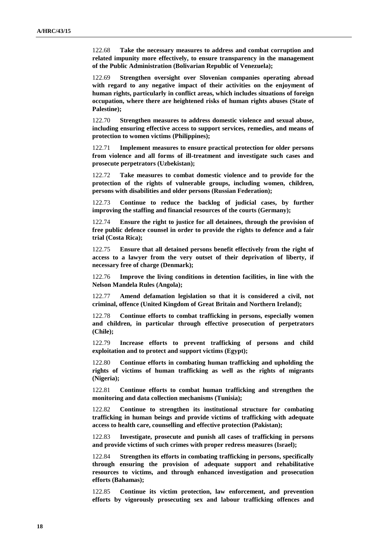122.68 **Take the necessary measures to address and combat corruption and related impunity more effectively, to ensure transparency in the management of the Public Administration (Bolivarian Republic of Venezuela);**

122.69 **Strengthen oversight over Slovenian companies operating abroad with regard to any negative impact of their activities on the enjoyment of human rights, particularly in conflict areas, which includes situations of foreign occupation, where there are heightened risks of human rights abuses (State of Palestine);**

122.70 **Strengthen measures to address domestic violence and sexual abuse, including ensuring effective access to support services, remedies, and means of protection to women victims (Philippines);**

122.71 **Implement measures to ensure practical protection for older persons from violence and all forms of ill-treatment and investigate such cases and prosecute perpetrators (Uzbekistan);**

122.72 **Take measures to combat domestic violence and to provide for the protection of the rights of vulnerable groups, including women, children, persons with disabilities and older persons (Russian Federation);**

122.73 **Continue to reduce the backlog of judicial cases, by further improving the staffing and financial resources of the courts (Germany);**

122.74 **Ensure the right to justice for all detainees, through the provision of free public defence counsel in order to provide the rights to defence and a fair trial (Costa Rica);**

122.75 **Ensure that all detained persons benefit effectively from the right of access to a lawyer from the very outset of their deprivation of liberty, if necessary free of charge (Denmark);**

122.76 **Improve the living conditions in detention facilities, in line with the Nelson Mandela Rules (Angola);**

122.77 **Amend defamation legislation so that it is considered a civil, not criminal, offence (United Kingdom of Great Britain and Northern Ireland);**

122.78 **Continue efforts to combat trafficking in persons, especially women and children, in particular through effective prosecution of perpetrators (Chile);**

122.79 **Increase efforts to prevent trafficking of persons and child exploitation and to protect and support victims (Egypt);**

122.80 **Continue efforts in combating human trafficking and upholding the rights of victims of human trafficking as well as the rights of migrants (Nigeria);**

122.81 **Continue efforts to combat human trafficking and strengthen the monitoring and data collection mechanisms (Tunisia);**

122.82 **Continue to strengthen its institutional structure for combating trafficking in human beings and provide victims of trafficking with adequate access to health care, counselling and effective protection (Pakistan);**

122.83 **Investigate, prosecute and punish all cases of trafficking in persons and provide victims of such crimes with proper redress measures (Israel);**

122.84 **Strengthen its efforts in combating trafficking in persons, specifically through ensuring the provision of adequate support and rehabilitative resources to victims, and through enhanced investigation and prosecution efforts (Bahamas);**

122.85 **Continue its victim protection, law enforcement, and prevention efforts by vigorously prosecuting sex and labour trafficking offences and**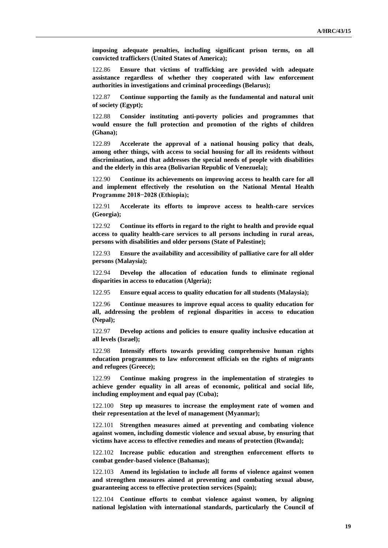**imposing adequate penalties, including significant prison terms, on all convicted traffickers (United States of America);**

122.86 **Ensure that victims of trafficking are provided with adequate assistance regardless of whether they cooperated with law enforcement authorities in investigations and criminal proceedings (Belarus);**

122.87 **Continue supporting the family as the fundamental and natural unit of society (Egypt);**

122.88 **Consider instituting anti-poverty policies and programmes that would ensure the full protection and promotion of the rights of children (Ghana);**

122.89 **Accelerate the approval of a national housing policy that deals, among other things, with access to social housing for all its residents without discrimination, and that addresses the special needs of people with disabilities and the elderly in this area (Bolivarian Republic of Venezuela);**

122.90 **Continue its achievements on improving access to health care for all and implement effectively the resolution on the National Mental Health Programme 2018−2028 (Ethiopia);**

122.91 **Accelerate its efforts to improve access to health-care services (Georgia);**

122.92 **Continue its efforts in regard to the right to health and provide equal access to quality health-care services to all persons including in rural areas, persons with disabilities and older persons (State of Palestine);**

122.93 **Ensure the availability and accessibility of palliative care for all older persons (Malaysia);**

122.94 **Develop the allocation of education funds to eliminate regional disparities in access to education (Algeria);**

122.95 **Ensure equal access to quality education for all students (Malaysia);**

122.96 **Continue measures to improve equal access to quality education for all, addressing the problem of regional disparities in access to education (Nepal);**

122.97 **Develop actions and policies to ensure quality inclusive education at all levels (Israel);**

122.98 **Intensify efforts towards providing comprehensive human rights education programmes to law enforcement officials on the rights of migrants and refugees (Greece);**

122.99 **Continue making progress in the implementation of strategies to achieve gender equality in all areas of economic, political and social life, including employment and equal pay (Cuba);**

122.100 **Step up measures to increase the employment rate of women and their representation at the level of management (Myanmar);**

122.101 **Strengthen measures aimed at preventing and combating violence against women, including domestic violence and sexual abuse, by ensuring that victims have access to effective remedies and means of protection (Rwanda);**

122.102 **Increase public education and strengthen enforcement efforts to combat gender-based violence (Bahamas);**

122.103 **Amend its legislation to include all forms of violence against women and strengthen measures aimed at preventing and combating sexual abuse, guaranteeing access to effective protection services (Spain);**

122.104 **Continue efforts to combat violence against women, by aligning national legislation with international standards, particularly the Council of**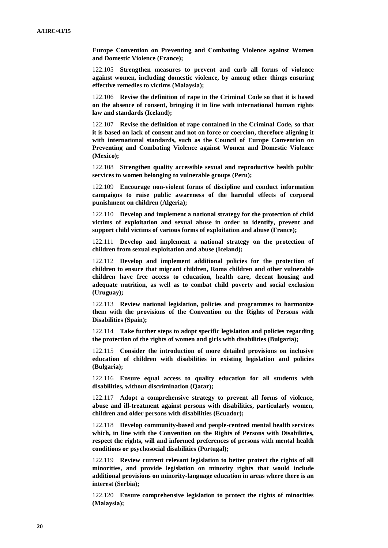**Europe Convention on Preventing and Combating Violence against Women and Domestic Violence (France);**

122.105 **Strengthen measures to prevent and curb all forms of violence against women, including domestic violence, by among other things ensuring effective remedies to victims (Malaysia);**

122.106 **Revise the definition of rape in the Criminal Code so that it is based on the absence of consent, bringing it in line with international human rights law and standards (Iceland);**

122.107 **Revise the definition of rape contained in the Criminal Code, so that it is based on lack of consent and not on force or coercion, therefore aligning it with international standards, such as the Council of Europe Convention on Preventing and Combating Violence against Women and Domestic Violence (Mexico);**

122.108 **Strengthen quality accessible sexual and reproductive health public services to women belonging to vulnerable groups (Peru);**

122.109 **Encourage non-violent forms of discipline and conduct information campaigns to raise public awareness of the harmful effects of corporal punishment on children (Algeria);**

122.110 **Develop and implement a national strategy for the protection of child victims of exploitation and sexual abuse in order to identify, prevent and support child victims of various forms of exploitation and abuse (France);**

122.111 **Develop and implement a national strategy on the protection of children from sexual exploitation and abuse (Iceland);**

122.112 **Develop and implement additional policies for the protection of children to ensure that migrant children, Roma children and other vulnerable children have free access to education, health care, decent housing and adequate nutrition, as well as to combat child poverty and social exclusion (Uruguay);**

122.113 **Review national legislation, policies and programmes to harmonize them with the provisions of the Convention on the Rights of Persons with Disabilities (Spain);**

122.114 **Take further steps to adopt specific legislation and policies regarding the protection of the rights of women and girls with disabilities (Bulgaria);**

122.115 **Consider the introduction of more detailed provisions on inclusive education of children with disabilities in existing legislation and policies (Bulgaria);**

122.116 **Ensure equal access to quality education for all students with disabilities, without discrimination (Qatar);**

122.117 **Adopt a comprehensive strategy to prevent all forms of violence, abuse and ill-treatment against persons with disabilities, particularly women, children and older persons with disabilities (Ecuador);**

122.118 **Develop community-based and people-centred mental health services which, in line with the Convention on the Rights of Persons with Disabilities, respect the rights, will and informed preferences of persons with mental health conditions or psychosocial disabilities (Portugal);**

122.119 **Review current relevant legislation to better protect the rights of all minorities, and provide legislation on minority rights that would include additional provisions on minority-language education in areas where there is an interest (Serbia);**

122.120 **Ensure comprehensive legislation to protect the rights of minorities (Malaysia);**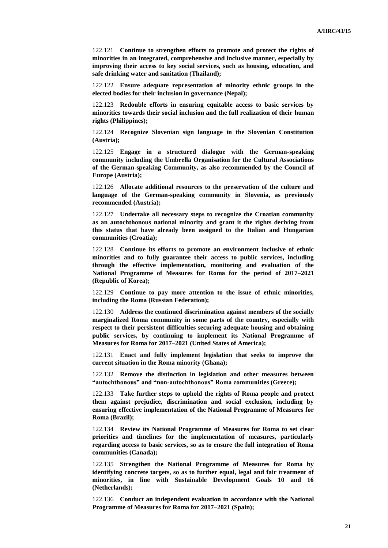122.121 **Continue to strengthen efforts to promote and protect the rights of minorities in an integrated, comprehensive and inclusive manner, especially by improving their access to key social services, such as housing, education, and safe drinking water and sanitation (Thailand);**

122.122 **Ensure adequate representation of minority ethnic groups in the elected bodies for their inclusion in governance (Nepal);**

122.123 **Redouble efforts in ensuring equitable access to basic services by minorities towards their social inclusion and the full realization of their human rights (Philippines);**

122.124 **Recognize Slovenian sign language in the Slovenian Constitution (Austria);**

122.125 **Engage in a structured dialogue with the German-speaking community including the Umbrella Organisation for the Cultural Associations of the German-speaking Community, as also recommended by the Council of Europe (Austria);**

122.126 **Allocate additional resources to the preservation of the culture and language of the German-speaking community in Slovenia, as previously recommended (Austria);**

122.127 **Undertake all necessary steps to recognize the Croatian community as an autochthonous national minority and grant it the rights deriving from this status that have already been assigned to the Italian and Hungarian communities (Croatia);**

122.128 **Continue its efforts to promote an environment inclusive of ethnic minorities and to fully guarantee their access to public services, including through the effective implementation, monitoring and evaluation of the National Programme of Measures for Roma for the period of 2017–2021 (Republic of Korea);**

122.129 **Continue to pay more attention to the issue of ethnic minorities, including the Roma (Russian Federation);**

122.130 **Address the continued discrimination against members of the socially marginalized Roma community in some parts of the country, especially with respect to their persistent difficulties securing adequate housing and obtaining public services, by continuing to implement its National Programme of Measures for Roma for 2017–2021 (United States of America);**

122.131 **Enact and fully implement legislation that seeks to improve the current situation in the Roma minority (Ghana);**

122.132 **Remove the distinction in legislation and other measures between "autochthonous" and "non-autochthonous" Roma communities (Greece);**

122.133 **Take further steps to uphold the rights of Roma people and protect them against prejudice, discrimination and social exclusion, including by ensuring effective implementation of the National Programme of Measures for Roma (Brazil);**

122.134 **Review its National Programme of Measures for Roma to set clear priorities and timelines for the implementation of measures, particularly regarding access to basic services, so as to ensure the full integration of Roma communities (Canada);**

122.135 **Strengthen the National Programme of Measures for Roma by identifying concrete targets, so as to further equal, legal and fair treatment of minorities, in line with Sustainable Development Goals 10 and 16 (Netherlands);**

122.136 **Conduct an independent evaluation in accordance with the National Programme of Measures for Roma for 2017–2021 (Spain);**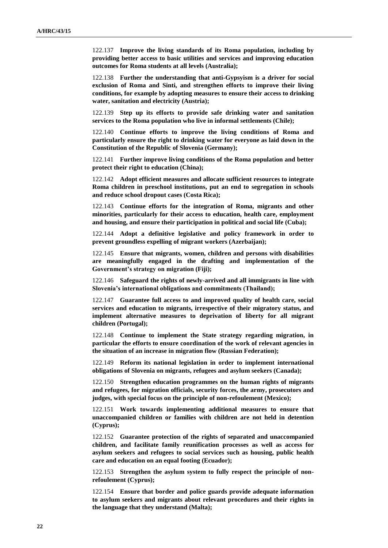122.137 **Improve the living standards of its Roma population, including by providing better access to basic utilities and services and improving education outcomes for Roma students at all levels (Australia);**

122.138 **Further the understanding that anti-Gypsyism is a driver for social exclusion of Roma and Sinti, and strengthen efforts to improve their living conditions, for example by adopting measures to ensure their access to drinking water, sanitation and electricity (Austria);**

122.139 **Step up its efforts to provide safe drinking water and sanitation services to the Roma population who live in informal settlements (Chile);**

122.140 **Continue efforts to improve the living conditions of Roma and particularly ensure the right to drinking water for everyone as laid down in the Constitution of the Republic of Slovenia (Germany);**

122.141 **Further improve living conditions of the Roma population and better protect their right to education (China);**

122.142 **Adopt efficient measures and allocate sufficient resources to integrate Roma children in preschool institutions, put an end to segregation in schools and reduce school dropout cases (Costa Rica);**

122.143 **Continue efforts for the integration of Roma, migrants and other minorities, particularly for their access to education, health care, employment and housing, and ensure their participation in political and social life (Cuba);**

122.144 **Adopt a definitive legislative and policy framework in order to prevent groundless expelling of migrant workers (Azerbaijan);**

122.145 **Ensure that migrants, women, children and persons with disabilities are meaningfully engaged in the drafting and implementation of the Government's strategy on migration (Fiji);**

122.146 **Safeguard the rights of newly-arrived and all immigrants in line with Slovenia's international obligations and commitments (Thailand);**

122.147 **Guarantee full access to and improved quality of health care, social services and education to migrants, irrespective of their migratory status, and implement alternative measures to deprivation of liberty for all migrant children (Portugal);**

122.148 **Continue to implement the State strategy regarding migration, in particular the efforts to ensure coordination of the work of relevant agencies in the situation of an increase in migration flow (Russian Federation);**

122.149 **Reform its national legislation in order to implement international obligations of Slovenia on migrants, refugees and asylum seekers (Canada);**

122.150 **Strengthen education programmes on the human rights of migrants and refugees, for migration officials, security forces, the army, prosecutors and judges, with special focus on the principle of non-refoulement (Mexico);**

122.151 **Work towards implementing additional measures to ensure that unaccompanied children or families with children are not held in detention (Cyprus);**

122.152 **Guarantee protection of the rights of separated and unaccompanied children, and facilitate family reunification processes as well as access for asylum seekers and refugees to social services such as housing, public health care and education on an equal footing (Ecuador);**

122.153 **Strengthen the asylum system to fully respect the principle of nonrefoulement (Cyprus);**

122.154 **Ensure that border and police guards provide adequate information to asylum seekers and migrants about relevant procedures and their rights in the language that they understand (Malta);**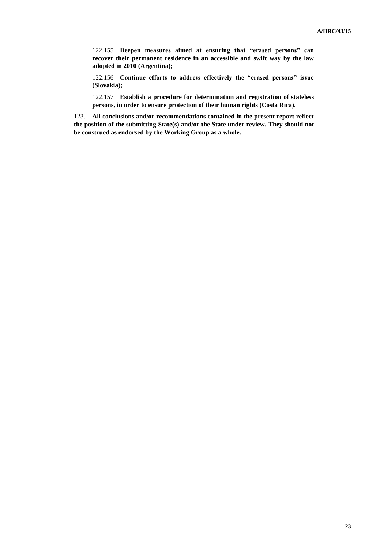122.155 **Deepen measures aimed at ensuring that "erased persons" can recover their permanent residence in an accessible and swift way by the law adopted in 2010 (Argentina);**

122.156 **Continue efforts to address effectively the "erased persons" issue (Slovakia);**

122.157 **Establish a procedure for determination and registration of stateless persons, in order to ensure protection of their human rights (Costa Rica).**

123. **All conclusions and/or recommendations contained in the present report reflect the position of the submitting State(s) and/or the State under review. They should not be construed as endorsed by the Working Group as a whole.**